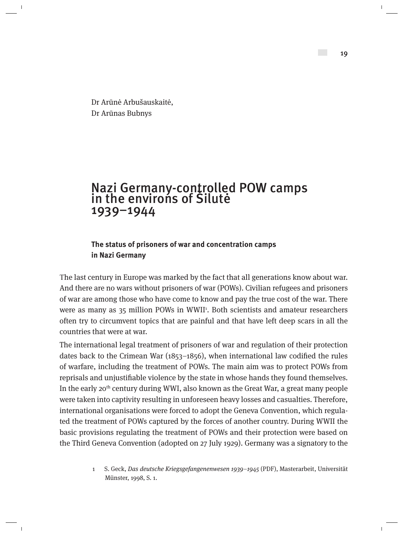Dr Arūnė Arbušauskaitė, Dr Arūnas Bubnys

# Nazi Germany-controlled POW camps in the envirońs of Šilutė 1939–1944

## **The status of prisoners of war and concentration camps in Nazi Germany**

The last century in Europe was marked by the fact that all generations know about war. And there are no wars without prisoners of war (POWs). Civilian refugees and prisoners of war are among those who have come to know and pay the true cost of the war. There were as many as 35 million POWs in WWII<sup>1</sup>. Both scientists and amateur researchers often try to circumvent topics that are painful and that have left deep scars in all the countries that were at war.

The international legal treatment of prisoners of war and regulation of their protection dates back to the Crimean War (1853–1856), when international law codified the rules of warfare, including the treatment of POWs. The main aim was to protect POWs from reprisals and unjustifiable violence by the state in whose hands they found themselves. In the early 20th century during WWI, also known as the Great War, a great many people were taken into captivity resulting in unforeseen heavy losses and casualties. Therefore, international organisations were forced to adopt the Geneva Convention, which regulated the treatment of POWs captured by the forces of another country. During WWII the basic provisions regulating the treatment of POWs and their protection were based on the Third Geneva Convention (adopted on 27 July 1929). Germany was a signatory to the

The Wilsoner of war and Gulag camps 1939–1955 in the environs of  $\sim$   $19$ 

<sup>1</sup> S. Geck, Das deutsche Kriegsgefangenenwesen 1939–1945 (PDF), Masterarbeit, Universität Münster, 1998, S. 1.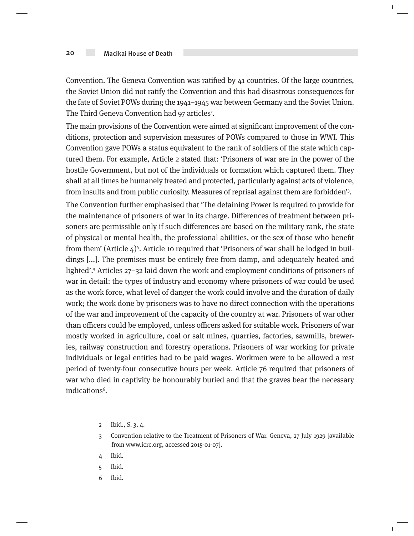$\overline{1}$ 

Convention. The Geneva Convention was ratified by 41 countries. Of the large countries, the Soviet Union did not ratify the Convention and this had disastrous consequences for the fate of Soviet POWs during the 1941–1945 war between Germany and the Soviet Union. The Third Geneva Convention had 97 articles<sup>2</sup>.

The main provisions of the Convention were aimed at significant improvement of the conditions, protection and supervision measures of POWs compared to those in WWI. This Convention gave POWs a status equivalent to the rank of soldiers of the state which captured them. For example, Article 2 stated that: 'Prisoners of war are in the power of the hostile Government, but not of the individuals or formation which captured them. They shall at all times be humanely treated and protected, particularly against acts of violence, from insults and from public curiosity. Measures of reprisal against them are forbidden'3 .

The Convention further emphasised that 'The detaining Power is required to provide for the maintenance of prisoners of war in its charge. Differences of treatment between prisoners are permissible only if such differences are based on the military rank, the state of physical or mental health, the professional abilities, or the sex of those who benefit from them' (Article  $4$ )<sup>4</sup>. Article 10 required that 'Prisoners of war shall be lodged in buildings [...]. The premises must be entirely free from damp, and adequately heated and lighted'.5 Articles 27–32 laid down the work and employment conditions of prisoners of war in detail: the types of industry and economy where prisoners of war could be used as the work force, what level of danger the work could involve and the duration of daily work; the work done by prisoners was to have no direct connection with the operations of the war and improvement of the capacity of the country at war. Prisoners of war other than officers could be employed, unless officers asked for suitable work. Prisoners of war mostly worked in agriculture, coal or salt mines, quarries, factories, sawmills, breweries, railway construction and forestry operations. Prisoners of war working for private individuals or legal entities had to be paid wages. Workmen were to be allowed a rest period of twenty-four consecutive hours per week. Article 76 required that prisoners of war who died in captivity be honourably buried and that the graves bear the necessary indications<sup>6</sup>.

- 2 Ibid., S. 3, 4.
- 3 Convention relative to the Treatment of Prisoners of War. Geneva, 27 July 1929 [available from www.icrc.org, accessed 2015-01-07].
- 4 Ibid.
- 5 Ibid.
- 6 Ibid.

 $\overline{1}$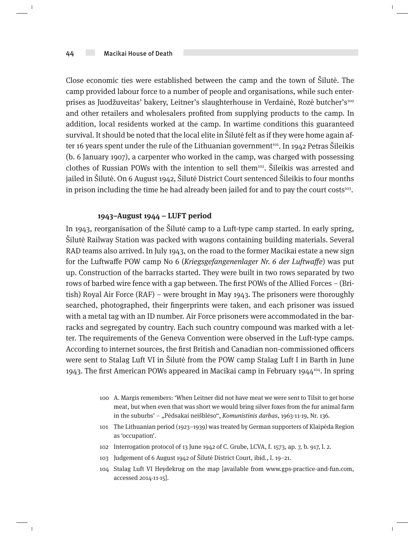$\overline{\phantom{a}}$ 

 $\overline{1}$ 

Close economic ties were established between the camp and the town of Šilutė. The camp provided labour force to a number of people and organisations, while such enterprises as Juodžuveitas' bakery, Leitner's slaughterhouse in Verdainė, Rozė butcher's<sup>100</sup> and other retailers and wholesalers profited from supplying products to the camp. In addition, local residents worked at the camp. In wartime conditions this guaranteed survival. It should be noted that the local elite in Šilutė felt as if they were home again after 16 years spent under the rule of the Lithuanian government<sup>101</sup>. In 1942 Petras Šileikis (b. 6 January 1907), a carpenter who worked in the camp, was charged with possessing clothes of Russian POWs with the intention to sell them102. Šileikis was arrested and jailed in Šilutė. On 6 August 1942, Šilutė District Court sentenced Šileikis to four months in prison including the time he had already been jailed for and to pay the court costs $103$ .

## **1943–August 1944 – LUFT period**

In 1943, reorganisation of the Šilutė camp to a Luft-type camp started. In early spring, Šilutė Railway Station was packed with wagons containing building materials. Several RAD teams also arrived. In July 1943, on the road to the former Macikai estate a new sign for the Luftwaffe POW camp No 6 (Kriegsgefangenenlager Nr. 6 der Luftwaffe) was put up. Construction of the barracks started. They were built in two rows separated by two rows of barbed wire fence with a gap between. The first POWs of the Allied Forces – (British) Royal Air Force (RAF) – were brought in May 1943. The prisoners were thoroughly searched, photographed, their fingerprints were taken, and each prisoner was issued with a metal tag with an ID number. Air Force prisoners were accommodated in the barracks and segregated by country. Each such country compound was marked with a letter. The requirements of the Geneva Convention were observed in the Luft-type camps. According to internet sources, the first British and Canadian non-commissioned officers were sent to Stalag Luft VI in Šilutė from the POW camp Stalag Luft I in Barth in June 1943. The first American POWs appeared in Macikai camp in February 1944 $104$ . In spring

- 100 A. Margis remembers: 'When Leitner did not have meat we were sent to Tilsit to get horse meat, but when even that was short we would bring silver foxes from the fur animal farm in the suburbs' – "Pėdsakai neišblėso", Komunistinis darbas, 1963-11-19, Nr. 136.
- 101 The Lithuanian period (1923–1939) was treated by German supporters of Klaipėda Region as 'occupation'.
- 102 Interrogation protocol of 13 June 1942 of C. Grube, LCVA, f. 1573, ap. 7, b. 917, l. 2.
- 103 Judgement of 6 August 1942 of Šilutė District Court, ibid., l. 19–21.
- 104 Stalag Luft VI Heydekrug on the map [available from www.gps-practice-and-fun.com, accessed 2014-11-15].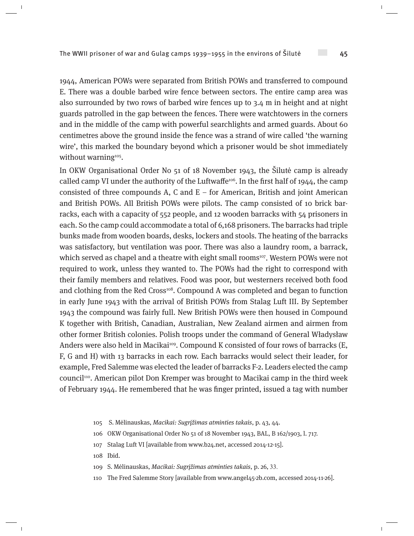1944, American POWs were separated from British POWs and transferred to compound E. There was a double barbed wire fence between sectors. The entire camp area was also surrounded by two rows of barbed wire fences up to 3.4 m in height and at night guards patrolled in the gap between the fences. There were watchtowers in the corners and in the middle of the camp with powerful searchlights and armed guards. About 60 centimetres above the ground inside the fence was a strand of wire called 'the warning wire', this marked the boundary beyond which a prisoner would be shot immediately without warning<sup>105</sup>.

In OKW Organisational Order No 51 of 18 November 1943, the Šilutė camp is already called camp VI under the authority of the Luftwaffe<sup>106</sup>. In the first half of 1944, the camp consisted of three compounds A, C and  $E$  – for American, British and joint American and British POWs. All British POWs were pilots. The camp consisted of 10 brick barracks, each with a capacity of 552 people, and 12 wooden barracks with 54 prisoners in each. So the camp could accommodate a total of 6,168 prisoners. The barracks had triple bunks made from wooden boards, desks, lockers and stools. The heating of the barracks was satisfactory, but ventilation was poor. There was also a laundry room, a barrack, which served as chapel and a theatre with eight small rooms<sup>107</sup>. Western POWs were not required to work, unless they wanted to. The POWs had the right to correspond with their family members and relatives. Food was poor, but westerners received both food and clothing from the Red Cross<sup>108</sup>. Compound A was completed and began to function in early June 1943 with the arrival of British POWs from Stalag Luft III. By September 1943 the compound was fairly full. New British POWs were then housed in Compound K together with British, Canadian, Australian, New Zealand airmen and airmen from other former British colonies. Polish troops under the command of General Władysław Anders were also held in Macikai<sup>109</sup>. Compound K consisted of four rows of barracks (E, F, G and H) with 13 barracks in each row. Each barracks would select their leader, for example, Fred Salemme was elected the leader of barracks F-2. Leaders elected the camp council<sup>110</sup>. American pilot Don Kremper was brought to Macikai camp in the third week of February 1944. He remembered that he was finger printed, issued a tag with number

- 105 S. Mėlinauskas, Macikai: Sugrįžimas atminties takais, p. 43, 44.
- 106 OKW Organisational Order No 51 of 18 November 1943, BAL, B 162/1903, l. 717.
- 107 Stalag Luft VI [available from www.b24.net, accessed 2014-12-15].
- 108 Ibid.
- 109 S. Mėlinauskas, Macikai: Sugrįžimas atminties takais, p. 26, 33.
- 110 The Fred Salemme Story [available from www.angel45-2b.com, accessed 2014-11-26].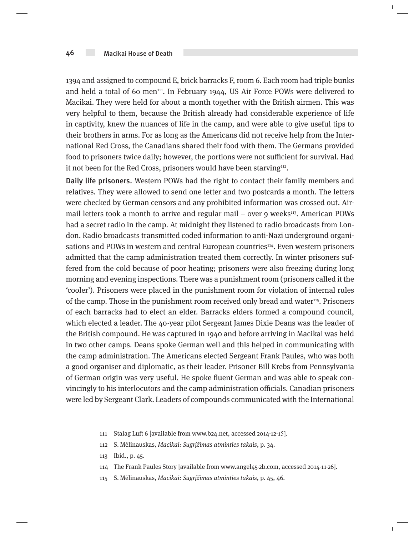#### 46 Macikai House of Death

1394 and assigned to compound E, brick barracks F, room 6. Each room had triple bunks and held a total of 60 men<sup>111</sup>. In February 1944, US Air Force POWs were delivered to Macikai. They were held for about a month together with the British airmen. This was very helpful to them, because the British already had considerable experience of life in captivity, knew the nuances of life in the camp, and were able to give useful tips to their brothers in arms. For as long as the Americans did not receive help from the International Red Cross, the Canadians shared their food with them. The Germans provided food to prisoners twice daily; however, the portions were not sufficient for survival. Had it not been for the Red Cross, prisoners would have been starving<sup>112</sup>.

Daily life prisoners. Western POWs had the right to contact their family members and relatives. They were allowed to send one letter and two postcards a month. The letters were checked by German censors and any prohibited information was crossed out. Airmail letters took a month to arrive and regular mail – over 9 weeks $113$ . American POWs had a secret radio in the camp. At midnight they listened to radio broadcasts from London. Radio broadcasts transmitted coded information to anti-Nazi underground organisations and POWs in western and central European countries<sup>114</sup>. Even western prisoners admitted that the camp administration treated them correctly. In winter prisoners suffered from the cold because of poor heating; prisoners were also freezing during long morning and evening inspections. There was a punishment room (prisoners called it the 'cooler'). Prisoners were placed in the punishment room for violation of internal rules of the camp. Those in the punishment room received only bread and water<sup>115</sup>. Prisoners of each barracks had to elect an elder. Barracks elders formed a compound council, which elected a leader. The 40-year pilot Sergeant James Dixie Deans was the leader of the British compound. He was captured in 1940 and before arriving in Macikai was held in two other camps. Deans spoke German well and this helped in communicating with the camp administration. The Americans elected Sergeant Frank Paules, who was both a good organiser and diplomatic, as their leader. Prisoner Bill Krebs from Pennsylvania of German origin was very useful. He spoke fluent German and was able to speak convincingly to his interlocutors and the camp administration officials. Canadian prisoners were led by Sergeant Clark. Leaders of compounds communicated with the International

- 111 Stalag Luft 6 [available from www.b24.net, accessed 2014-12-15].
- 112 S. Mėlinauskas, Macikai: Sugrįžimas atminties takais, p. 34.
- 113 Ibid., p. 45.

 $\overline{1}$ 

- 114 The Frank Paules Story [available from www.angel45-2b.com, accessed 2014-11-26].
- 115 S. Mėlinauskas, Macikai: Sugrįžimas atminties takais, p. 45, 46.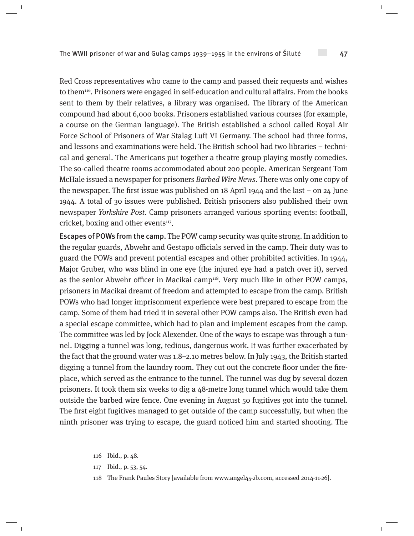Red Cross representatives who came to the camp and passed their requests and wishes to them<sup>116</sup>. Prisoners were engaged in self-education and cultural affairs. From the books sent to them by their relatives, a library was organised. The library of the American compound had about 6,000 books. Prisoners established various courses (for example, a course on the German language). The British established a school called Royal Air Force School of Prisoners of War Stalag Luft VI Germany. The school had three forms, and lessons and examinations were held. The British school had two libraries – technical and general. The Americans put together a theatre group playing mostly comedies. The so-called theatre rooms accommodated about 200 people. American Sergeant Tom McHale issued a newspaper for prisoners Barbed Wire News. There was only one copy of the newspaper. The first issue was published on 18 April 1944 and the last – on 24 June 1944. A total of 30 issues were published. British prisoners also published their own newspaper Yorkshire Post. Camp prisoners arranged various sporting events: football, cricket, boxing and other events<sup>117</sup>.

Escapes of POWs from the camp. The POW camp security was quite strong. In addition to the regular guards, Abwehr and Gestapo officials served in the camp. Their duty was to guard the POWs and prevent potential escapes and other prohibited activities. In 1944, Major Gruber, who was blind in one eye (the injured eye had a patch over it), served as the senior Abwehr officer in Macikai camp<sup>118</sup>. Very much like in other POW camps, prisoners in Macikai dreamt of freedom and attempted to escape from the camp. British POWs who had longer imprisonment experience were best prepared to escape from the camp. Some of them had tried it in several other POW camps also. The British even had a special escape committee, which had to plan and implement escapes from the camp. The committee was led by Jock Alexender. One of the ways to escape was through a tunnel. Digging a tunnel was long, tedious, dangerous work. It was further exacerbated by the fact that the ground water was 1.8–2.10 metres below. In July 1943, the British started digging a tunnel from the laundry room. They cut out the concrete floor under the fireplace, which served as the entrance to the tunnel. The tunnel was dug by several dozen prisoners. It took them six weeks to dig a 48-metre long tunnel which would take them outside the barbed wire fence. One evening in August 50 fugitives got into the tunnel. The first eight fugitives managed to get outside of the camp successfully, but when the ninth prisoner was trying to escape, the guard noticed him and started shooting. The

116 Ibid., p. 48.

- 117 Ibid., p. 53, 54.
- 118 The Frank Paules Story [available from www.angel45-2b.com, accessed 2014-11-26].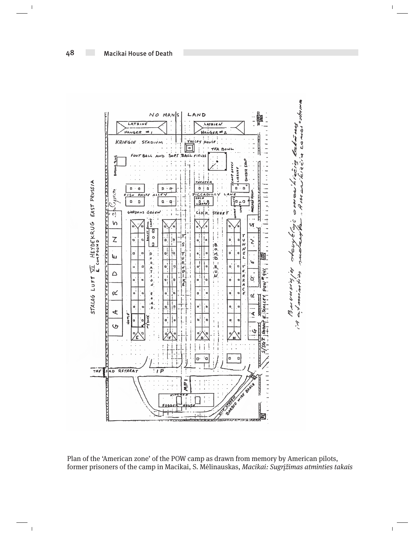

 $\bar{\mathbb{L}}$ 

 $\overline{1}$ 

Plan of the 'American zone' of the POW camp as drawn from memory by American pilots, former prisoners of the camp in Macikai, S. Mėlinauskas, Macikai: Sugrįžimas atminties takais

 $\bar{1}$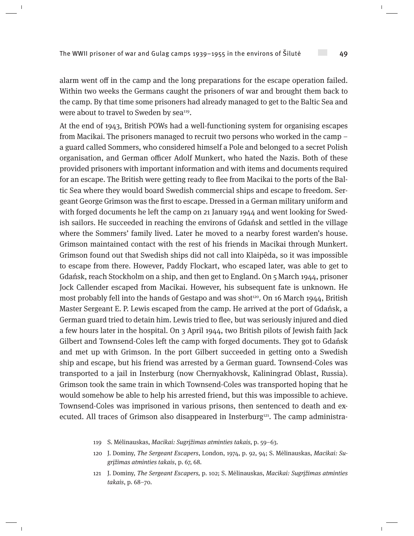alarm went off in the camp and the long preparations for the escape operation failed. Within two weeks the Germans caught the prisoners of war and brought them back to the camp. By that time some prisoners had already managed to get to the Baltic Sea and were about to travel to Sweden by sea<sup>119</sup>.

At the end of 1943, British POWs had a well-functioning system for organising escapes from Macikai. The prisoners managed to recruit two persons who worked in the camp – a guard called Sommers, who considered himself a Pole and belonged to a secret Polish organisation, and German officer Adolf Munkert, who hated the Nazis. Both of these provided prisoners with important information and with items and documents required for an escape. The British were getting ready to flee from Macikai to the ports of the Baltic Sea where they would board Swedish commercial ships and escape to freedom. Sergeant George Grimson was the first to escape. Dressed in a German military uniform and with forged documents he left the camp on 21 January 1944 and went looking for Swedish sailors. He succeeded in reaching the environs of Gdańsk and settled in the village where the Sommers' family lived. Later he moved to a nearby forest warden's house. Grimson maintained contact with the rest of his friends in Macikai through Munkert. Grimson found out that Swedish ships did not call into Klaipėda, so it was impossible to escape from there. However, Paddy Flockart, who escaped later, was able to get to Gdańsk, reach Stockholm on a ship, and then get to England. On 5 March 1944, prisoner Jock Callender escaped from Macikai. However, his subsequent fate is unknown. He most probably fell into the hands of Gestapo and was shot<sup>120</sup>. On 16 March 1944, British Master Sergeant E. P. Lewis escaped from the camp. He arrived at the port of Gdańsk, a German guard tried to detain him. Lewis tried to flee, but was seriously injured and died a few hours later in the hospital. On 3 April 1944, two British pilots of Jewish faith Jack Gilbert and Townsend-Coles left the camp with forged documents. They got to Gdańsk and met up with Grimson. In the port Gilbert succeeded in getting onto a Swedish ship and escape, but his friend was arrested by a German guard. Townsend-Coles was transported to a jail in Insterburg (now Chernyakhovsk, Kaliningrad Oblast, Russia). Grimson took the same train in which Townsend-Coles was transported hoping that he would somehow be able to help his arrested friend, but this was impossible to achieve. Townsend-Coles was imprisoned in various prisons, then sentenced to death and executed. All traces of Grimson also disappeared in Insterburg<sup>121</sup>. The camp administra-

- 119 S. Mėlinauskas, Macikai: Sugrįžimas atminties takais, p. 59–63.
- 120 J. Dominy, The Sergeant Escapers, London, 1974, p. 92, 94; S. Mėlinauskas, Macikai: Sugrįžimas atminties takais, p. 67, 68.
- 121 J. Dominy, The Sergeant Escapers, p. 102; S. Mėlinauskas, Macikai: Sugrįžimas atminties takais, p. 68–70.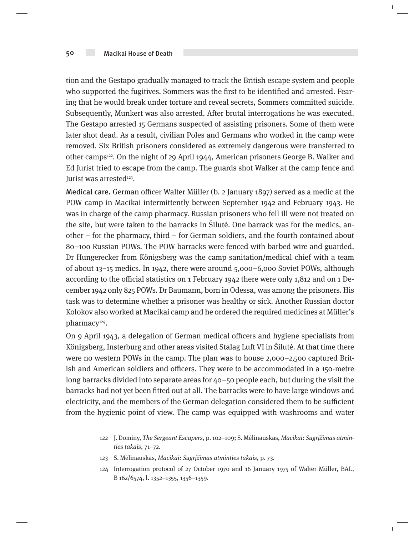$\overline{\phantom{a}}$ 

 $\overline{1}$ 

tion and the Gestapo gradually managed to track the British escape system and people who supported the fugitives. Sommers was the first to be identified and arrested. Fearing that he would break under torture and reveal secrets, Sommers committed suicide. Subsequently, Munkert was also arrested. After brutal interrogations he was executed. The Gestapo arrested 15 Germans suspected of assisting prisoners. Some of them were later shot dead. As a result, civilian Poles and Germans who worked in the camp were removed. Six British prisoners considered as extremely dangerous were transferred to other camps<sup>122</sup>. On the night of 29 April 1944, American prisoners George B. Walker and Ed Jurist tried to escape from the camp. The guards shot Walker at the camp fence and Jurist was arrested<sup>123</sup>.

Medical care. German officer Walter Müller (b. 2 January 1897) served as a medic at the POW camp in Macikai intermittently between September 1942 and February 1943. He was in charge of the camp pharmacy. Russian prisoners who fell ill were not treated on the site, but were taken to the barracks in Šilutė. One barrack was for the medics, another – for the pharmacy, third – for German soldiers, and the fourth contained about 80–100 Russian POWs. The POW barracks were fenced with barbed wire and guarded. Dr Hungerecker from Königsberg was the camp sanitation/medical chief with a team of about 13–15 medics. In 1942, there were around 5,000–6,000 Soviet POWs, although according to the official statistics on 1 February 1942 there were only 1,812 and on 1 December 1942 only 825 POWs. Dr Baumann, born in Odessa, was among the prisoners. His task was to determine whether a prisoner was healthy or sick. Another Russian doctor Kolokov also worked at Macikai camp and he ordered the required medicines at Müller's pharmacy<sup>124</sup>.

On 9 April 1943, a delegation of German medical officers and hygiene specialists from Königsberg, Insterburg and other areas visited Stalag Luft VI in Šilutė. At that time there were no western POWs in the camp. The plan was to house 2,000–2,500 captured British and American soldiers and officers. They were to be accommodated in a 150-metre long barracks divided into separate areas for 40–50 people each, but during the visit the barracks had not yet been fitted out at all. The barracks were to have large windows and electricity, and the members of the German delegation considered them to be sufficient from the hygienic point of view. The camp was equipped with washrooms and water

- 122 J. Dominy, The Sergeant Escapers, p. 102–109; S. Mėlinauskas, Macikai: Sugrįžimas atminties takais, 71–72.
- 123 S. Mėlinauskas, Macikai: Sugrįžimas atminties takais, p. 73.
- 124 Interrogation protocol of 27 October 1970 and 16 January 1975 of Walter Müller, BAL, B 162/6574, l. 1352–1355, 1356–1359.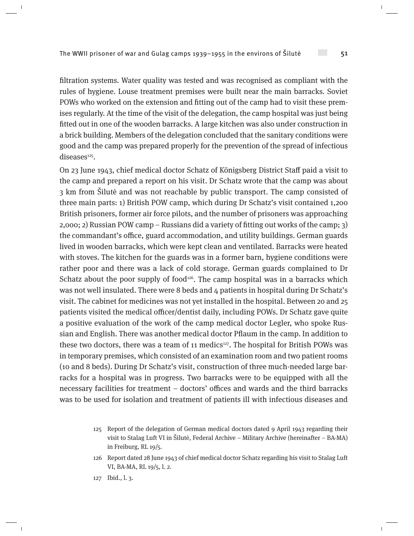filtration systems. Water quality was tested and was recognised as compliant with the rules of hygiene. Louse treatment premises were built near the main barracks. Soviet POWs who worked on the extension and fitting out of the camp had to visit these premises regularly. At the time of the visit of the delegation, the camp hospital was just being fitted out in one of the wooden barracks. A large kitchen was also under construction in a brick building. Members of the delegation concluded that the sanitary conditions were good and the camp was prepared properly for the prevention of the spread of infectious  $diseases<sup>125</sup>$ .

On 23 June 1943, chief medical doctor Schatz of Königsberg District Staff paid a visit to the camp and prepared a report on his visit. Dr Schatz wrote that the camp was about 3 km from Šilutė and was not reachable by public transport. The camp consisted of three main parts: 1) British POW camp, which during Dr Schatz's visit contained 1,200 British prisoners, former air force pilots, and the number of prisoners was approaching 2,000; 2) Russian POW camp – Russians did a variety of fitting out works of the camp; 3) the commandant's office, guard accommodation, and utility buildings. German guards lived in wooden barracks, which were kept clean and ventilated. Barracks were heated with stoves. The kitchen for the guards was in a former barn, hygiene conditions were rather poor and there was a lack of cold storage. German guards complained to Dr Schatz about the poor supply of food<sup>126</sup>. The camp hospital was in a barracks which was not well insulated. There were 8 beds and 4 patients in hospital during Dr Schatz's visit. The cabinet for medicines was not yet installed in the hospital. Between 20 and 25 patients visited the medical officer/dentist daily, including POWs. Dr Schatz gave quite a positive evaluation of the work of the camp medical doctor Legler, who spoke Russian and English. There was another medical doctor Pflaum in the camp. In addition to these two doctors, there was a team of 11 medics<sup>127</sup>. The hospital for British POWs was in temporary premises, which consisted of an examination room and two patient rooms (10 and 8 beds). During Dr Schatz's visit, construction of three much-needed large barracks for a hospital was in progress. Two barracks were to be equipped with all the necessary facilities for treatment – doctors' offices and wards and the third barracks was to be used for isolation and treatment of patients ill with infectious diseases and

- 125 Report of the delegation of German medical doctors dated 9 April 1943 regarding their visit to Stalag Luft VI in Šilutė, Federal Archive – Military Archive (hereinafter – BA-MA) in Freiburg, RL 19/5.
- 126 Report dated 28 June 1943 of chief medical doctor Schatz regarding his visit to Stalag Luft VI, BA-MA, RL 19/5, l. 2.

127 Ibid., l. 3.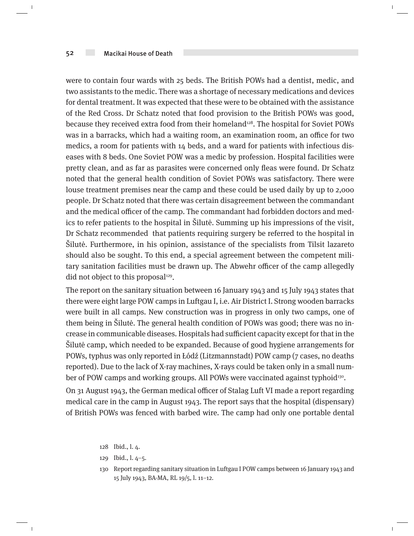#### 52 Macikai House of Death

were to contain four wards with 25 beds. The British POWs had a dentist, medic, and two assistants to the medic. There was a shortage of necessary medications and devices for dental treatment. It was expected that these were to be obtained with the assistance of the Red Cross. Dr Schatz noted that food provision to the British POWs was good, because they received extra food from their homeland<sup>128</sup>. The hospital for Soviet POWs was in a barracks, which had a waiting room, an examination room, an office for two medics, a room for patients with 14 beds, and a ward for patients with infectious diseases with 8 beds. One Soviet POW was a medic by profession. Hospital facilities were pretty clean, and as far as parasites were concerned only fleas were found. Dr Schatz noted that the general health condition of Soviet POWs was satisfactory. There were louse treatment premises near the camp and these could be used daily by up to 2,000 people. Dr Schatz noted that there was certain disagreement between the commandant and the medical officer of the camp. The commandant had forbidden doctors and medics to refer patients to the hospital in Šilutė. Summing up his impressions of the visit, Dr Schatz recommended that patients requiring surgery be referred to the hospital in Šilutė. Furthermore, in his opinion, assistance of the specialists from Tilsit lazareto should also be sought. To this end, a special agreement between the competent military sanitation facilities must be drawn up. The Abwehr officer of the camp allegedly did not object to this proposal<sup>129</sup>.

The report on the sanitary situation between 16 January 1943 and 15 July 1943 states that there were eight large POW camps in Luftgau I, i.e. Air District I. Strong wooden barracks were built in all camps. New construction was in progress in only two camps, one of them being in Šilutė. The general health condition of POWs was good; there was no increase in communicable diseases. Hospitals had sufficient capacity except for that in the Šilutė camp, which needed to be expanded. Because of good hygiene arrangements for POWs, typhus was only reported in Łódź (Litzmannstadt) POW camp (7 cases, no deaths reported). Due to the lack of X-ray machines, X-rays could be taken only in a small number of POW camps and working groups. All POWs were vaccinated against typhoid<sup>130</sup>.

On 31 August 1943, the German medical officer of Stalag Luft VI made a report regarding medical care in the camp in August 1943. The report says that the hospital (dispensary) of British POWs was fenced with barbed wire. The camp had only one portable dental

- 128 Ibid., l. 4.
- 129 Ibid., l. 4–5.

 $\overline{1}$ 

130 Report regarding sanitary situation in Luftgau I POW camps between 16 January 1943 and 15 July 1943, BA-MA, RL 19/5, l. 11–12.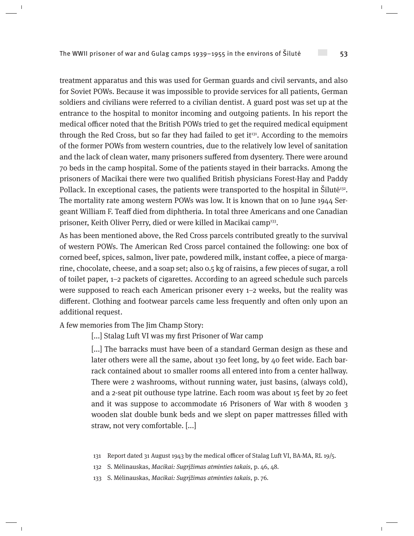treatment apparatus and this was used for German guards and civil servants, and also for Soviet POWs. Because it was impossible to provide services for all patients, German soldiers and civilians were referred to a civilian dentist. A guard post was set up at the entrance to the hospital to monitor incoming and outgoing patients. In his report the medical officer noted that the British POWs tried to get the required medical equipment through the Red Cross, but so far they had failed to get it<sup>131</sup>. According to the memoirs of the former POWs from western countries, due to the relatively low level of sanitation and the lack of clean water, many prisoners suffered from dysentery. There were around 70 beds in the camp hospital. Some of the patients stayed in their barracks. Among the prisoners of Macikai there were two qualified British physicians Forest-Hay and Paddy Pollack. In exceptional cases, the patients were transported to the hospital in Šilutė<sup>132</sup>. The mortality rate among western POWs was low. It is known that on 10 June 1944 Sergeant William F. Teaff died from diphtheria. In total three Americans and one Canadian prisoner, Keith Oliver Perry, died or were killed in Macikai camp<sup>133</sup>.

As has been mentioned above, the Red Cross parcels contributed greatly to the survival of western POWs. The American Red Cross parcel contained the following: one box of corned beef, spices, salmon, liver pate, powdered milk, instant coffee, a piece of margarine, chocolate, cheese, and a soap set; also 0.5 kg of raisins, a few pieces of sugar, a roll of toilet paper, 1–2 packets of cigarettes. According to an agreed schedule such parcels were supposed to reach each American prisoner every 1–2 weeks, but the reality was different. Clothing and footwear parcels came less frequently and often only upon an additional request.

A few memories from The Jim Champ Story:

[...] Stalag Luft VI was my first Prisoner of War camp

[...] The barracks must have been of a standard German design as these and later others were all the same, about 130 feet long, by 40 feet wide. Each barrack contained about 10 smaller rooms all entered into from a center hallway. There were 2 washrooms, without running water, just basins, (always cold), and a 2-seat pit outhouse type latrine. Each room was about 15 feet by 20 feet and it was suppose to accommodate 16 Prisoners of War with 8 wooden 3 wooden slat double bunk beds and we slept on paper mattresses filled with straw, not very comfortable. [...]

131 Report dated 31 August 1943 by the medical officer of Stalag Luft VI, BA-MA, RL 19/5.

132 S. Mėlinauskas, Macikai: Sugrįžimas atminties takais, p. 46, 48.

133 S. Mėlinauskas, Macikai: Sugrįžimas atminties takais, p. 76.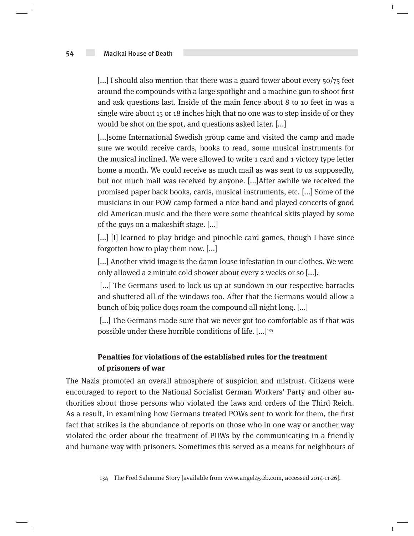$\overline{1}$ 

[...] I should also mention that there was a guard tower about every 50/75 feet around the compounds with a large spotlight and a machine gun to shoot first and ask questions last. Inside of the main fence about 8 to 10 feet in was a single wire about 15 or 18 inches high that no one was to step inside of or they would be shot on the spot, and questions asked later. [...]

[...]some International Swedish group came and visited the camp and made sure we would receive cards, books to read, some musical instruments for the musical inclined. We were allowed to write 1 card and 1 victory type letter home a month. We could receive as much mail as was sent to us supposedly, but not much mail was received by anyone. [...]After awhile we received the promised paper back books, cards, musical instruments, etc. [...] Some of the musicians in our POW camp formed a nice band and played concerts of good old American music and the there were some theatrical skits played by some of the guys on a makeshift stage. [...]

[...] [I] learned to play bridge and pinochle card games, though I have since forgotten how to play them now. [...]

[...] Another vivid image is the damn louse infestation in our clothes. We were only allowed a 2 minute cold shower about every 2 weeks or so [...].

[...] The Germans used to lock us up at sundown in our respective barracks and shuttered all of the windows too. After that the Germans would allow a bunch of big police dogs roam the compound all night long. [...]

 [...] The Germans made sure that we never got too comfortable as if that was possible under these horrible conditions of life. [...]<sup>134</sup>

# **Penalties for violations of the established rules for the treatment of prisoners of war**

The Nazis promoted an overall atmosphere of suspicion and mistrust. Citizens were encouraged to report to the National Socialist German Workers' Party and other authorities about those persons who violated the laws and orders of the Third Reich. As a result, in examining how Germans treated POWs sent to work for them, the first fact that strikes is the abundance of reports on those who in one way or another way violated the order about the treatment of POWs by the communicating in a friendly and humane way with prisoners. Sometimes this served as a means for neighbours of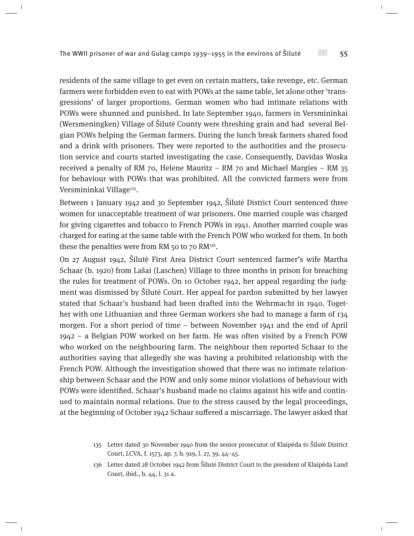residents of the same village to get even on certain matters, take revenge, etc. German farmers were forbidden even to eat with POWs at the same table, let alone other 'transgressions' of larger proportions. German women who had intimate relations with POWs were shunned and punished. In late September 1940, farmers in Versmininkai (Wersmeningken) Village of Šilutė County were threshing grain and had several Belgian POWs helping the German farmers. During the lunch break farmers shared food and a drink with prisoners. They were reported to the authorities and the prosecution service and courts started investigating the case. Consequently, Davidas Woska received a penalty of RM 70, Helene Mauritz – RM 70 and Michael Margies – RM 35 for behaviour with POWs that was prohibited. All the convicted farmers were from Versmininkai Village<sup>135</sup>.

Between 1 January 1942 and 30 September 1942, Šilutė District Court sentenced three women for unacceptable treatment of war prisoners. One married couple was charged for giving cigarettes and tobacco to French POWs in 1941. Another married couple was charged for eating at the same table with the French POW who worked for them. In both these the penalties were from RM 50 to 70 RM<sup>136</sup>.

On 27 August 1942, Šilutė First Area District Court sentenced farmer's wife Martha Schaar (b. 1920) from Lašai (Laschen) Village to three months in prison for breaching the rules for treatment of POWs. On 10 October 1942, her appeal regarding the judgment was dismissed by Šilutė Court. Her appeal for pardon submitted by her lawyer stated that Schaar's husband had been drafted into the Wehrmacht in 1940. Together with one Lithuanian and three German workers she had to manage a farm of 134 morgen. For a short period of time – between November 1941 and the end of April 1942 – a Belgian POW worked on her farm. He was often visited by a French POW who worked on the neighbouring farm. The neighbour then reported Schaar to the authorities saying that allegedly she was having a prohibited relationship with the French POW. Although the investigation showed that there was no intimate relationship between Schaar and the POW and only some minor violations of behaviour with POWs were identified. Schaar's husband made no claims against his wife and continued to maintain normal relations. Due to the stress caused by the legal proceedings, at the beginning of October 1942 Schaar suffered a miscarriage. The lawyer asked that

- 135 Letter dated 30 November 1940 from the senior prosecutor of Klaipėda to Šilutė District Court, LCVA, f. 1573, ap. 7, b. 919, l. 27, 39, 44–45.
- 136 Letter dated 28 October 1942 from Šilutė District Court to the president of Klaipėda Land Court, ibid., b. 44, l. 31 a.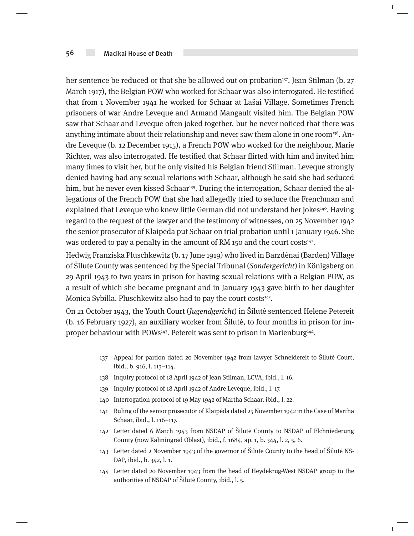### 56 Macikai House of Death

 $\overline{\phantom{a}}$ 

 $\overline{1}$ 

her sentence be reduced or that she be allowed out on probation<sup>137</sup>. Jean Stilman (b. 27) March 1917), the Belgian POW who worked for Schaar was also interrogated. He testified that from 1 November 1941 he worked for Schaar at Lašai Village. Sometimes French prisoners of war Andre Leveque and Armand Mangault visited him. The Belgian POW saw that Schaar and Leveque often joked together, but he never noticed that there was anything intimate about their relationship and never saw them alone in one room<sup>138</sup>. Andre Leveque (b. 12 December 1915), a French POW who worked for the neighbour, Marie Richter, was also interrogated. He testified that Schaar flirted with him and invited him many times to visit her, but he only visited his Belgian friend Stilman. Leveque strongly denied having had any sexual relations with Schaar, although he said she had seduced him, but he never even kissed Schaar<sup>139</sup>. During the interrogation, Schaar denied the allegations of the French POW that she had allegedly tried to seduce the Frenchman and explained that Leveque who knew little German did not understand her jokes<sup>140</sup>. Having regard to the request of the lawyer and the testimony of witnesses, on 25 November 1942 the senior prosecutor of Klaipėda put Schaar on trial probation until 1 January 1946. She was ordered to pay a penalty in the amount of RM 150 and the court costs<sup>141</sup>.

Hedwig Franziska Pluschkewitz (b. 17 June 1919) who lived in Barzdėnai (Barden) Village of Šilute County was sentenced by the Special Tribunal (Sondergericht) in Königsberg on 29 April 1943 to two years in prison for having sexual relations with a Belgian POW, as a result of which she became pregnant and in January 1943 gave birth to her daughter Monica Sybilla. Pluschkewitz also had to pay the court costs<sup>142</sup>.

On 21 October 1943, the Youth Court (Jugendgericht) in Šilutė sentenced Helene Petereit (b. 16 February 1927), an auxiliary worker from Šilutė, to four months in prison for improper behaviour with POWs<sup>143</sup>. Petereit was sent to prison in Marienburg<sup>144</sup>.

- 137 Appeal for pardon dated 20 November 1942 from lawyer Schneidereit to Šilutė Court, ibid., b. 916, l. 113–114.
- 138 Inquiry protocol of 18 April 1942 of Jean Stilman, LCVA, ibid., l. 16.
- 139 Inquiry protocol of 18 April 1942 of Andre Leveque, ibid., l. 17.
- 140 Interrogation protocol of 19 May 1942 of Martha Schaar, ibid., l. 22.
- 141 Ruling of the senior prosecutor of Klaipėda dated 25 November 1942 in the Case of Martha Schaar, ibid., l. 116–117.
- 142 Letter dated 6 March 1943 from NSDAP of Šilutė County to NSDAP of Elchniederung County (now Kaliningrad Oblast), ibid., f. 1684, ap. 1, b. 344, l. 2, 5, 6.
- 143 Letter dated 2 November 1943 of the governor of Šilutė County to the head of Šilutė NS-DAP, ibid., b. 342, l. 1.
- 144 Letter dated 20 November 1943 from the head of Heydekrug-West NSDAP group to the authorities of NSDAP of Šilutė County, ibid., l. 5.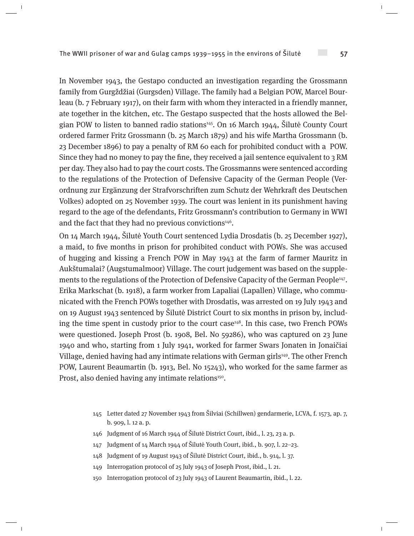In November 1943, the Gestapo conducted an investigation regarding the Grossmann family from Gurgždžiai (Gurgsden) Village. The family had a Belgian POW, Marcel Bourleau (b. 7 February 1917), on their farm with whom they interacted in a friendly manner, ate together in the kitchen, etc. The Gestapo suspected that the hosts allowed the Belgian POW to listen to banned radio stations145. On 16 March 1944, Šilutė County Court ordered farmer Fritz Grossmann (b. 25 March 1879) and his wife Martha Grossmann (b. 23 December 1896) to pay a penalty of RM 60 each for prohibited conduct with a POW. Since they had no money to pay the fine, they received a jail sentence equivalent to 3 RM per day. They also had to pay the court costs. The Grossmanns were sentenced according to the regulations of the Protection of Defensive Capacity of the German People (Verordnung zur Ergänzung der Strafvorschriften zum Schutz der Wehrkraft des Deutschen Volkes) adopted on 25 November 1939. The court was lenient in its punishment having regard to the age of the defendants, Fritz Grossmann's contribution to Germany in WWI and the fact that they had no previous convictions<sup>146</sup>.

On 14 March 1944, Šilutė Youth Court sentenced Lydia Drosdatis (b. 25 December 1927), a maid, to five months in prison for prohibited conduct with POWs. She was accused of hugging and kissing a French POW in May 1943 at the farm of farmer Mauritz in Aukštumalai? (Augstumalmoor) Village. The court judgement was based on the supplements to the regulations of the Protection of Defensive Capacity of the German People<sup>147</sup>. Erika Markschat (b. 1918), a farm worker from Lapaliai (Lapallen) Village, who communicated with the French POWs together with Drosdatis, was arrested on 19 July 1943 and on 19 August 1943 sentenced by Šilutė District Court to six months in prison by, including the time spent in custody prior to the court case<sup>148</sup>. In this case, two French POWs were questioned. Joseph Prost (b. 1908, Bel. No 59286), who was captured on 23 June 1940 and who, starting from 1 July 1941, worked for farmer Swars Jonaten in Jonaičiai Village, denied having had any intimate relations with German girls<sup>149</sup>. The other French POW, Laurent Beaumartin (b. 1913, Bel. No 15243), who worked for the same farmer as Prost, also denied having any intimate relations<sup>150</sup>.

- 145 Letter dated 27 November 1943 from Šilviai (Schillwen) gendarmerie, LCVA, f. 1573, ap. 7, b. 909, l. 12 a. p.
- 146 Judgment of 16 March 1944 of Šilutė District Court, ibid., l. 23, 23 a. p.
- 147 Judgment of 14 March 1944 of Šilutė Youth Court, ibid., b. 907, l. 22–23.
- 148 Judgment of 19 August 1943 of Šilutė District Court, ibid., b. 914, l. 37.
- 149 Interrogation protocol of 25 July 1943 of Joseph Prost, ibid., l. 21.
- 150 Interrogation protocol of 23 July 1943 of Laurent Beaumartin, ibid., l. 22.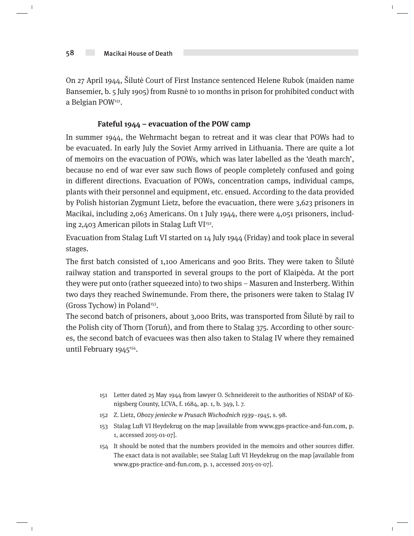$\overline{1}$ 

On 27 April 1944, Šilutė Court of First Instance sentenced Helene Rubok (maiden name Bansemier, b. 5 July 1905) from Rusnė to 10 months in prison for prohibited conduct with a Belgian POW151.

## **Fateful 1944 – evacuation of the POW camp**

In summer 1944, the Wehrmacht began to retreat and it was clear that POWs had to be evacuated. In early July the Soviet Army arrived in Lithuania. There are quite a lot of memoirs on the evacuation of POWs, which was later labelled as the 'death march', because no end of war ever saw such flows of people completely confused and going in different directions. Evacuation of POWs, concentration camps, individual camps, plants with their personnel and equipment, etc. ensued. According to the data provided by Polish historian Zygmunt Lietz, before the evacuation, there were 3,623 prisoners in Macikai, including 2,063 Americans. On 1 July 1944, there were 4,051 prisoners, including 2,403 American pilots in Stalag Luft VI $152$ .

Evacuation from Stalag Luft VI started on 14 July 1944 (Friday) and took place in several stages.

The first batch consisted of 1,100 Americans and 900 Brits. They were taken to Šilutė railway station and transported in several groups to the port of Klaipėda. At the port they were put onto (rather squeezed into) to two ships – Masuren and Insterberg. Within two days they reached Swinemunde. From there, the prisoners were taken to Stalag IV (Gross Tychow) in Poland<sup>153</sup>.

The second batch of prisoners, about 3,000 Brits, was transported from Šilutė by rail to the Polish city of Thorn (Toruń), and from there to Stalag 375. According to other sources, the second batch of evacuees was then also taken to Stalag IV where they remained until February  $1945^{154}$ .

- 151 Letter dated 25 May 1944 from lawyer O. Schneidereit to the authorities of NSDAP of Königsberg County, LCVA, f. 1684, ap. 1, b. 349, l. 7.
- 152 Z. Lietz, Obozy jeniecke w Prusach Wschodnich 1939–1945, s. 98.
- 153 Stalag Luft VI Heydekrug on the map [available from www.gps-practice-and-fun.com, p. 1, accessed 2015-01-07].
- 154 It should be noted that the numbers provided in the memoirs and other sources differ. The exact data is not available; see Stalag Luft VI Heydekrug on the map [available from www.gps-practice-and-fun.com, p. 1, accessed 2015-01-07].